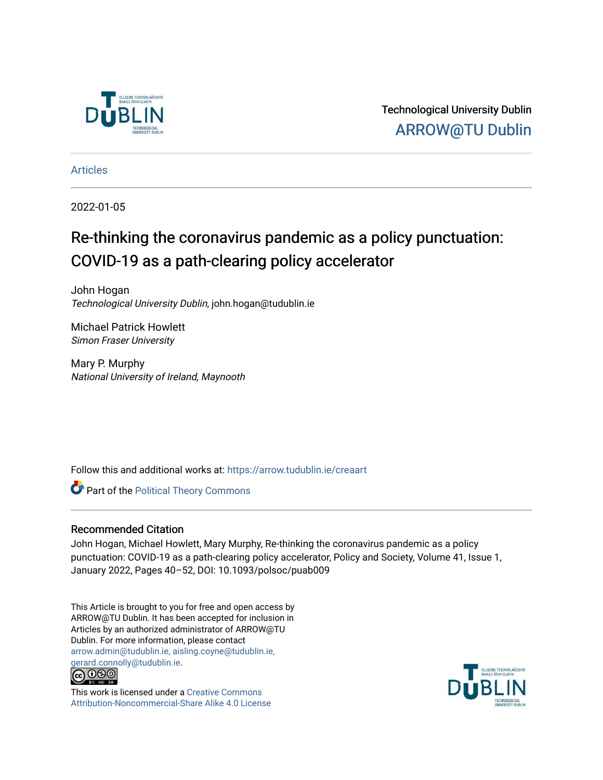

Technological University Dublin [ARROW@TU Dublin](https://arrow.tudublin.ie/) 

[Articles](https://arrow.tudublin.ie/creaart)

2022-01-05

## Re-thinking the coronavirus pandemic as a policy punctuation: COVID-19 as a path-clearing policy accelerator

John Hogan Technological University Dublin, john.hogan@tudublin.ie

Michael Patrick Howlett Simon Fraser University

Mary P. Murphy National University of Ireland, Maynooth

Follow this and additional works at: [https://arrow.tudublin.ie/creaart](https://arrow.tudublin.ie/creaart?utm_source=arrow.tudublin.ie%2Fcreaart%2F70&utm_medium=PDF&utm_campaign=PDFCoverPages) 

**Part of the Political Theory Commons** 

#### Recommended Citation

John Hogan, Michael Howlett, Mary Murphy, Re-thinking the coronavirus pandemic as a policy punctuation: COVID-19 as a path-clearing policy accelerator, Policy and Society, Volume 41, Issue 1, January 2022, Pages 40–52, DOI: 10.1093/polsoc/puab009

This Article is brought to you for free and open access by ARROW@TU Dublin. It has been accepted for inclusion in Articles by an authorized administrator of ARROW@TU Dublin. For more information, please contact [arrow.admin@tudublin.ie, aisling.coyne@tudublin.ie,](mailto:arrow.admin@tudublin.ie,%20aisling.coyne@tudublin.ie,%20gerard.connolly@tudublin.ie)  [gerard.connolly@tudublin.ie](mailto:arrow.admin@tudublin.ie,%20aisling.coyne@tudublin.ie,%20gerard.connolly@tudublin.ie).<br>@009



This work is licensed under a [Creative Commons](http://creativecommons.org/licenses/by-nc-sa/4.0/) [Attribution-Noncommercial-Share Alike 4.0 License](http://creativecommons.org/licenses/by-nc-sa/4.0/)

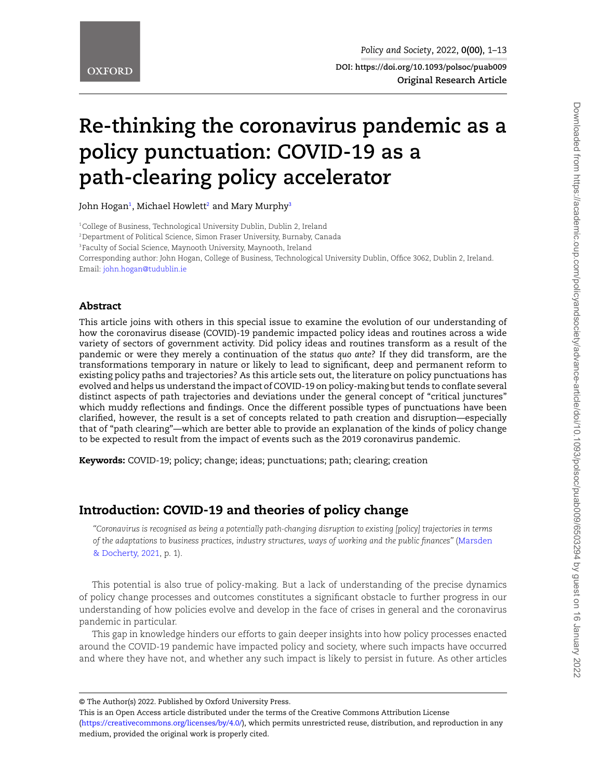# **Re-thinking the coronavirus pandemic as a policy punctuation: COVID-19 as a path-clearing policy accelerator**

John Hogan<del>'</del>, Michael Howlett<sup>[2](#page-1-1)</sup> and Mary Murphy<del>'</del>

<span id="page-1-2"></span><span id="page-1-1"></span><span id="page-1-0"></span><sup>1</sup>College of Business, Technological University Dublin, Dublin 2, Ireland <sup>2</sup>Department of Political Science, Simon Fraser University, Burnaby, Canada <sup>3</sup>Faculty of Social Science, Maynooth University, Maynooth, Ireland Corresponding author: John Hogan, College of Business, Technological University Dublin, Office 3062, Dublin 2, Ireland. Email: [john.hogan@tudublin.ie](mailto:john.hogan@tudublin.ie)

#### **Abstract**

This article joins with others in this special issue to examine the evolution of our understanding of how the coronavirus disease (COVID)-19 pandemic impacted policy ideas and routines across a wide variety of sectors of government activity. Did policy ideas and routines transform as a result of the pandemic or were they merely a continuation of the *status quo ante*? If they did transform, are the transformations temporary in nature or likely to lead to significant, deep and permanent reform to existing policy paths and trajectories? As this article sets out, the literature on policy punctuations has evolved and helps us understand the impact of COVID-19 on policy-making but tends to conflate several distinct aspects of path trajectories and deviations under the general concept of "critical junctures" which muddy reflections and findings. Once the different possible types of punctuations have been clarified, however, the result is a set of concepts related to path creation and disruption—especially that of "path clearing"—which are better able to provide an explanation of the kinds of policy change to be expected to result from the impact of events such as the 2019 coronavirus pandemic.

**Keywords:** COVID-19; policy; change; ideas; punctuations; path; clearing; creation

## **Introduction: COVID-19 and theories of policy change**

*"Coronavirus is recognised as being a potentially path-changing disruption to existing [policy] trajectories in terms of the adaptations to business practices, industry structures, ways of working and the public finances"* [\(Marsden](#page-12-0) [& Docherty, 2021,](#page-12-0) p. 1).

This potential is also true of policy-making. But a lack of understanding of the precise dynamics of policy change processes and outcomes constitutes a significant obstacle to further progress in our understanding of how policies evolve and develop in the face of crises in general and the coronavirus pandemic in particular.

This gap in knowledge hinders our efforts to gain deeper insights into how policy processes enacted around the COVID-19 pandemic have impacted policy and society, where such impacts have occurred and where they have not, and whether any such impact is likely to persist in future. As other articles

<sup>©</sup> The Author(s) 2022. Published by Oxford University Press.

This is an Open Access article distributed under the terms of the Creative Commons Attribution License

<sup>(</sup>[https://creativecommons.org/licenses/by/4.0/\)](https://creativecommons.org/licenses/by/4.0/), which permits unrestricted reuse, distribution, and reproduction in any medium, provided the original work is properly cited.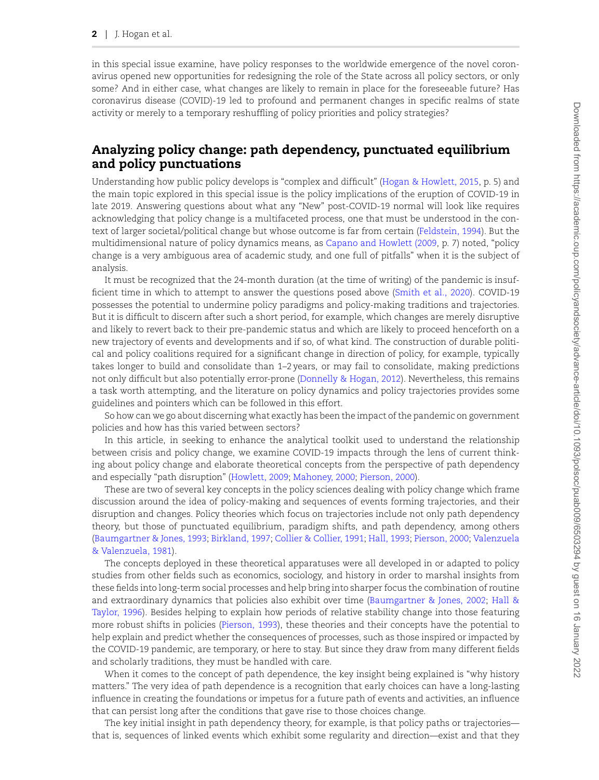in this special issue examine, have policy responses to the worldwide emergence of the novel coronavirus opened new opportunities for redesigning the role of the State across all policy sectors, or only some? And in either case, what changes are likely to remain in place for the foreseeable future? Has coronavirus disease (COVID)-19 led to profound and permanent changes in specific realms of state activity or merely to a temporary reshuffling of policy priorities and policy strategies?

#### **Analyzing policy change: path dependency, punctuated equilibrium and policy punctuations**

Understanding how public policy develops is "complex and difficult" [\(Hogan & Howlett, 2015](#page-11-0), p. 5) and the main topic explored in this special issue is the policy implications of the eruption of COVID-19 in late 2019. Answering questions about what any "New" post-COVID-19 normal will look like requires acknowledging that policy change is a multifaceted process, one that must be understood in the context of larger societal/political change but whose outcome is far from certain [\(Feldstein, 1994\)](#page-10-0). But the multidimensional nature of policy dynamics means, as [Capano and Howlett \(2009,](#page-10-1) p. 7) noted, "policy change is a very ambiguous area of academic study, and one full of pitfalls" when it is the subject of analysis.

It must be recognized that the 24-month duration (at the time of writing) of the pandemic is insufficient time in which to attempt to answer the questions posed above [\(Smith et al., 2020](#page-13-0)). COVID-19 possesses the potential to undermine policy paradigms and policy-making traditions and trajectories. But it is difficult to discern after such a short period, for example, which changes are merely disruptive and likely to revert back to their pre-pandemic status and which are likely to proceed henceforth on a new trajectory of events and developments and if so, of what kind. The construction of durable political and policy coalitions required for a significant change in direction of policy, for example, typically takes longer to build and consolidate than 1–2 years, or may fail to consolidate, making predictions not only difficult but also potentially error-prone [\(Donnelly & Hogan, 2012\)](#page-10-2). Nevertheless, this remains a task worth attempting, and the literature on policy dynamics and policy trajectories provides some guidelines and pointers which can be followed in this effort.

So how can we go about discerning what exactly has been the impact of the pandemic on government policies and how has this varied between sectors?

In this article, in seeking to enhance the analytical toolkit used to understand the relationship between crisis and policy change, we examine COVID-19 impacts through the lens of current thinking about policy change and elaborate theoretical concepts from the perspective of path dependency and especially "path disruption"([Howlett, 2009](#page-11-1); [Mahoney, 2000;](#page-12-1) [Pierson, 2000](#page-12-2)).

These are two of several key concepts in the policy sciences dealing with policy change which frame discussion around the idea of policy-making and sequences of events forming trajectories, and their disruption and changes. Policy theories which focus on trajectories include not only path dependency theory, but those of punctuated equilibrium, paradigm shifts, and path dependency, among others ([Baumgartner & Jones, 1993;](#page-10-3) [Birkland, 1997](#page-10-4); [Collier & Collier, 1991;](#page-10-5) [Hall, 1993;](#page-11-2) [Pierson, 2000;](#page-12-2) [Valenzuela](#page-13-1) [& Valenzuela, 1981\)](#page-13-1).

The concepts deployed in these theoretical apparatuses were all developed in or adapted to policy studies from other fields such as economics, sociology, and history in order to marshal insights from these fields into long-term social processes and help bring into sharper focus the combination of routine and extraordinary dynamics that policies also exhibit over time([Baumgartner & Jones, 2002;](#page-10-6) [Hall &](#page-11-3) [Taylor, 1996](#page-11-3)). Besides helping to explain how periods of relative stability change into those featuring more robust shifts in policies [\(Pierson, 1993](#page-12-3)), these theories and their concepts have the potential to help explain and predict whether the consequences of processes, such as those inspired or impacted by the COVID-19 pandemic, are temporary, or here to stay. But since they draw from many different fields and scholarly traditions, they must be handled with care.

When it comes to the concept of path dependence, the key insight being explained is "why history matters." The very idea of path dependence is a recognition that early choices can have a long-lasting influence in creating the foundations or impetus for a future path of events and activities, an influence that can persist long after the conditions that gave rise to those choices change.

The key initial insight in path dependency theory, for example, is that policy paths or trajectories that is, sequences of linked events which exhibit some regularity and direction—exist and that they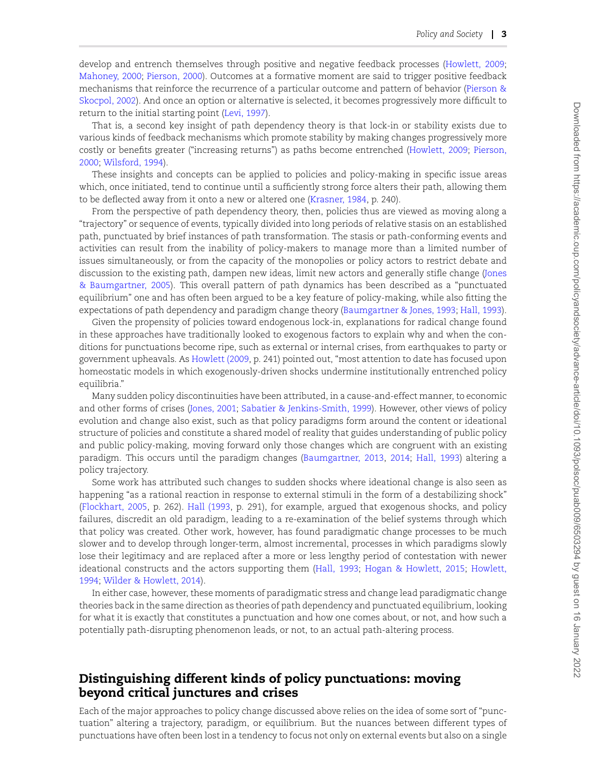develop and entrench themselves through positive and negative feedback processes([Howlett, 2009](#page-11-1); [Mahoney, 2000;](#page-12-1) [Pierson, 2000](#page-12-2)). Outcomes at a formative moment are said to trigger positive feedback mechanisms that reinforce the recurrence of a particular outcome and pattern of behavior [\(Pierson &](#page-13-2) [Skocpol, 2002\)](#page-13-2). And once an option or alternative is selected, it becomes progressively more difficult to return to the initial starting point([Levi, 1997\)](#page-12-4).

That is, a second key insight of path dependency theory is that lock-in or stability exists due to various kinds of feedback mechanisms which promote stability by making changes progressively more costly or benefits greater ("increasing returns") as paths become entrenched [\(Howlett, 2009;](#page-11-1) [Pierson,](#page-12-2) [2000](#page-12-2); [Wilsford, 1994](#page-13-3)).

These insights and concepts can be applied to policies and policy-making in specific issue areas which, once initiated, tend to continue until a sufficiently strong force alters their path, allowing them to be deflected away from it onto a new or altered one([Krasner, 1984,](#page-11-4) p. 240).

From the perspective of path dependency theory, then, policies thus are viewed as moving along a "trajectory" or sequence of events, typically divided into long periods of relative stasis on an established path, punctuated by brief instances of path transformation. The stasis or path-conforming events and activities can result from the inability of policy-makers to manage more than a limited number of issues simultaneously, or from the capacity of the monopolies or policy actors to restrict debate and discussion to the existing path, dampen new ideas, limit new actors and generally stifle change([Jones](#page-11-5) [& Baumgartner, 2005\)](#page-11-5). This overall pattern of path dynamics has been described as a "punctuated equilibrium" one and has often been argued to be a key feature of policy-making, while also fitting the expectations of path dependency and paradigm change theory [\(Baumgartner & Jones, 1993;](#page-10-3) [Hall, 1993\)](#page-11-2).

Given the propensity of policies toward endogenous lock-in, explanations for radical change found in these approaches have traditionally looked to exogenous factors to explain why and when the conditions for punctuations become ripe, such as external or internal crises, from earthquakes to party or government upheavals. As [Howlett \(2009,](#page-11-1) p. 241) pointed out, "most attention to date has focused upon homeostatic models in which exogenously-driven shocks undermine institutionally entrenched policy equilibria."

Many sudden policy discontinuities have been attributed, in a cause-and-effect manner, to economic and other forms of crises [\(Jones, 2001;](#page-11-6) [Sabatier & Jenkins-Smith, 1999](#page-13-4)). However, other views of policy evolution and change also exist, such as that policy paradigms form around the content or ideational structure of policies and constitute a shared model of reality that guides understanding of public policy and public policy-making, moving forward only those changes which are congruent with an existing paradigm. This occurs until the paradigm changes([Baumgartner, 2013,](#page-9-0) [2014;](#page-10-7) [Hall, 1993](#page-11-2)) altering a policy trajectory.

Some work has attributed such changes to sudden shocks where ideational change is also seen as happening "as a rational reaction in response to external stimuli in the form of a destabilizing shock" [\(Flockhart, 2005,](#page-11-7) p. 262). [Hall \(1993](#page-11-2), p. 291), for example, argued that exogenous shocks, and policy failures, discredit an old paradigm, leading to a re-examination of the belief systems through which that policy was created. Other work, however, has found paradigmatic change processes to be much slower and to develop through longer-term, almost incremental, processes in which paradigms slowly lose their legitimacy and are replaced after a more or less lengthy period of contestation with newer ideational constructs and the actors supporting them [\(Hall, 1993;](#page-11-2) [Hogan & Howlett, 2015](#page-11-0); [Howlett,](#page-11-8) [1994](#page-11-8); [Wilder & Howlett, 2014\)](#page-13-5).

In either case, however, these moments of paradigmatic stress and change lead paradigmatic change theories back in the same direction as theories of path dependency and punctuated equilibrium, looking for what it is exactly that constitutes a punctuation and how one comes about, or not, and how such a potentially path-disrupting phenomenon leads, or not, to an actual path-altering process.

#### **Distinguishing different kinds of policy punctuations: moving beyond critical junctures and crises**

Each of the major approaches to policy change discussed above relies on the idea of some sort of "punctuation" altering a trajectory, paradigm, or equilibrium. But the nuances between different types of punctuations have often been lost in a tendency to focus not only on external events but also on a single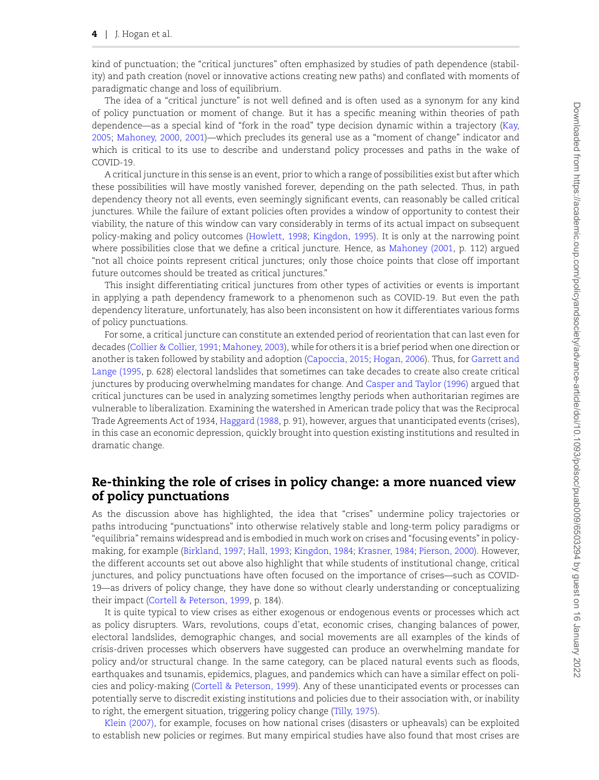kind of punctuation; the "critical junctures" often emphasized by studies of path dependence (stability) and path creation (novel or innovative actions creating new paths) and conflated with moments of paradigmatic change and loss of equilibrium.

The idea of a "critical juncture" is not well defined and is often used as a synonym for any kind of policy punctuation or moment of change. But it has a specific meaning within theories of path dependence—as a special kind of "fork in the road" type decision dynamic within a trajectory([Kay,](#page-11-9) [2005;](#page-11-9) [Mahoney, 2000,](#page-12-1) [2001](#page-12-5))—which precludes its general use as a "moment of change" indicator and which is critical to its use to describe and understand policy processes and paths in the wake of COVID-19.

A critical juncture in this sense is an event, prior to which a range of possibilities exist but after which these possibilities will have mostly vanished forever, depending on the path selected. Thus, in path dependency theory not all events, even seemingly significant events, can reasonably be called critical junctures. While the failure of extant policies often provides a window of opportunity to contest their viability, the nature of this window can vary considerably in terms of its actual impact on subsequent policy-making and policy outcomes([Howlett, 1998](#page-11-10); [Kingdon, 1995](#page-11-11)). It is only at the narrowing point where possibilities close that we define a critical juncture. Hence, as [Mahoney \(2001](#page-12-5), p. 112) argued "not all choice points represent critical junctures; only those choice points that close off important future outcomes should be treated as critical junctures."

This insight differentiating critical junctures from other types of activities or events is important in applying a path dependency framework to a phenomenon such as COVID-19. But even the path dependency literature, unfortunately, has also been inconsistent on how it differentiates various forms of policy punctuations.

For some, a critical juncture can constitute an extended period of reorientation that can last even for decades [\(Collier & Collier, 1991](#page-10-5); [Mahoney, 2003](#page-12-6)), while for others it is a brief period when one direction or another is taken followed by stability and adoption([Capoccia, 2015](#page-10-8); [Hogan, 2006\)](#page-11-12). Thus, for [Garrett and](#page-11-13) [Lange \(1995,](#page-11-13) p. 628) electoral landslides that sometimes can take decades to create also create critical junctures by producing overwhelming mandates for change. And [Casper and Taylor \(1996\)](#page-10-9) argued that critical junctures can be used in analyzing sometimes lengthy periods when authoritarian regimes are vulnerable to liberalization. Examining the watershed in American trade policy that was the Reciprocal Trade Agreements Act of 1934, [Haggard \(1988](#page-11-14), p. 91), however, argues that unanticipated events (crises), in this case an economic depression, quickly brought into question existing institutions and resulted in dramatic change.

## **Re-thinking the role of crises in policy change: a more nuanced view of policy punctuations**

As the discussion above has highlighted, the idea that "crises" undermine policy trajectories or paths introducing "punctuations" into otherwise relatively stable and long-term policy paradigms or "equilibria" remains widespread and is embodied in much work on crises and "focusing events" in policymaking, for example [\(Birkland, 1997;](#page-10-4) [Hall, 1993;](#page-11-2) [Kingdon, 1984](#page-11-15); [Krasner, 1984;](#page-11-4) [Pierson, 2000](#page-12-2)). However, the different accounts set out above also highlight that while students of institutional change, critical junctures, and policy punctuations have often focused on the importance of crises—such as COVID-19—as drivers of policy change, they have done so without clearly understanding or conceptualizing their impact [\(Cortell & Peterson, 1999](#page-10-10), p. 184).

It is quite typical to view crises as either exogenous or endogenous events or processes which act as policy disrupters. Wars, revolutions, coups d'etat, economic crises, changing balances of power, electoral landslides, demographic changes, and social movements are all examples of the kinds of crisis-driven processes which observers have suggested can produce an overwhelming mandate for policy and/or structural change. In the same category, can be placed natural events such as floods, earthquakes and tsunamis, epidemics, plagues, and pandemics which can have a similar effect on policies and policy-making([Cortell & Peterson, 1999](#page-10-10)). Any of these unanticipated events or processes can potentially serve to discredit existing institutions and policies due to their association with, or inability to right, the emergent situation, triggering policy change([Tilly, 1975](#page-13-6)).

[Klein \(2007\),](#page-11-16) for example, focuses on how national crises (disasters or upheavals) can be exploited to establish new policies or regimes. But many empirical studies have also found that most crises are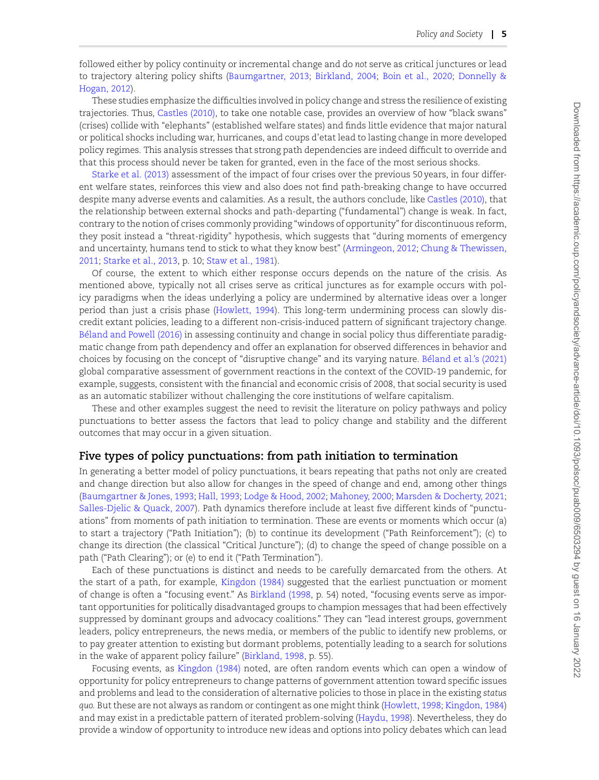followed either by policy continuity or incremental change and do *not* serve as critical junctures or lead to trajectory altering policy shifts([Baumgartner, 2013;](#page-9-0) [Birkland, 2004;](#page-10-11) [Boin et al., 2020;](#page-10-12) [Donnelly &](#page-10-2) [Hogan, 2012\)](#page-10-2).

These studies emphasize the difficulties involved in policy change and stress the resilience of existing trajectories. Thus, [Castles \(2010\),](#page-10-13) to take one notable case, provides an overview of how "black swans" (crises) collide with "elephants" (established welfare states) and finds little evidence that major natural or political shocks including war, hurricanes, and coups d'etat lead to lasting change in more developed policy regimes. This analysis stresses that strong path dependencies are indeed difficult to override and that this process should never be taken for granted, even in the face of the most serious shocks.

[Starke et al. \(2013\)](#page-13-7) assessment of the impact of four crises over the previous 50 years, in four different welfare states, reinforces this view and also does not find path-breaking change to have occurred despite many adverse events and calamities. As a result, the authors conclude, like [Castles \(2010\),](#page-10-13) that the relationship between external shocks and path-departing ("fundamental") change is weak. In fact, contrary to the notion of crises commonly providing "windows of opportunity" for discontinuous reform, they posit instead a "threat-rigidity" hypothesis, which suggests that "during moments of emergency and uncertainty, humans tend to stick to what they know best" [\(Armingeon, 2012;](#page-9-1) [Chung & Thewissen,](#page-10-14) [2011](#page-10-14); [Starke et al., 2013,](#page-13-7) p. 10; [Staw et al., 1981\)](#page-13-8).

Of course, the extent to which either response occurs depends on the nature of the crisis. As mentioned above, typically not all crises serve as critical junctures as for example occurs with policy paradigms when the ideas underlying a policy are undermined by alternative ideas over a longer period than just a crisis phase [\(Howlett, 1994\)](#page-11-8). This long-term undermining process can slowly discredit extant policies, leading to a different non-crisis-induced pattern of significant trajectory change. Béland and Powell (2016) in assessing continuity and change in social policy thus differentiate paradigmatic change from path dependency and offer an explanation for observed differences in behavior and choices by focusing on the concept of "disruptive change" and its varying nature. Béland et al.'s (2021) global comparative assessment of government reactions in the context of the COVID-19 pandemic, for example, suggests, consistent with the financial and economic crisis of 2008, that social security is used as an automatic stabilizer without challenging the core institutions of welfare capitalism.

These and other examples suggest the need to revisit the literature on policy pathways and policy punctuations to better assess the factors that lead to policy change and stability and the different outcomes that may occur in a given situation.

#### **Five types of policy punctuations: from path initiation to termination**

In generating a better model of policy punctuations, it bears repeating that paths not only are created and change direction but also allow for changes in the speed of change and end, among other things [\(Baumgartner & Jones, 1993;](#page-10-3) [Hall, 1993](#page-11-2); [Lodge & Hood, 2002](#page-12-7); [Mahoney, 2000](#page-12-1); [Marsden & Docherty, 2021](#page-12-0); [Salles-Djelic & Quack, 2007](#page-13-9)). Path dynamics therefore include at least five different kinds of "punctuations" from moments of path initiation to termination. These are events or moments which occur (a) to start a trajectory ("Path Initiation"); (b) to continue its development ("Path Reinforcement"); (c) to change its direction (the classical "Critical Juncture"); (d) to change the speed of change possible on a path ("Path Clearing"); or (e) to end it ("Path Termination").

Each of these punctuations is distinct and needs to be carefully demarcated from the others. At the start of a path, for example, [Kingdon \(1984\)](#page-11-15) suggested that the earliest punctuation or moment of change is often a "focusing event." As [Birkland \(1998](#page-10-17), p. 54) noted, "focusing events serve as important opportunities for politically disadvantaged groups to champion messages that had been effectively suppressed by dominant groups and advocacy coalitions." They can "lead interest groups, government leaders, policy entrepreneurs, the news media, or members of the public to identify new problems, or to pay greater attention to existing but dormant problems, potentially leading to a search for solutions in the wake of apparent policy failure"([Birkland, 1998](#page-10-17), p. 55).

Focusing events, as [Kingdon \(1984\)](#page-11-15) noted, are often random events which can open a window of opportunity for policy entrepreneurs to change patterns of government attention toward specific issues and problems and lead to the consideration of alternative policies to those in place in the existing *status quo.* But these are not always as random or contingent as one might think([Howlett, 1998;](#page-11-10) [Kingdon, 1984](#page-11-15)) and may exist in a predictable pattern of iterated problem-solving([Haydu, 1998\)](#page-11-17). Nevertheless, they do provide a window of opportunity to introduce new ideas and options into policy debates which can lead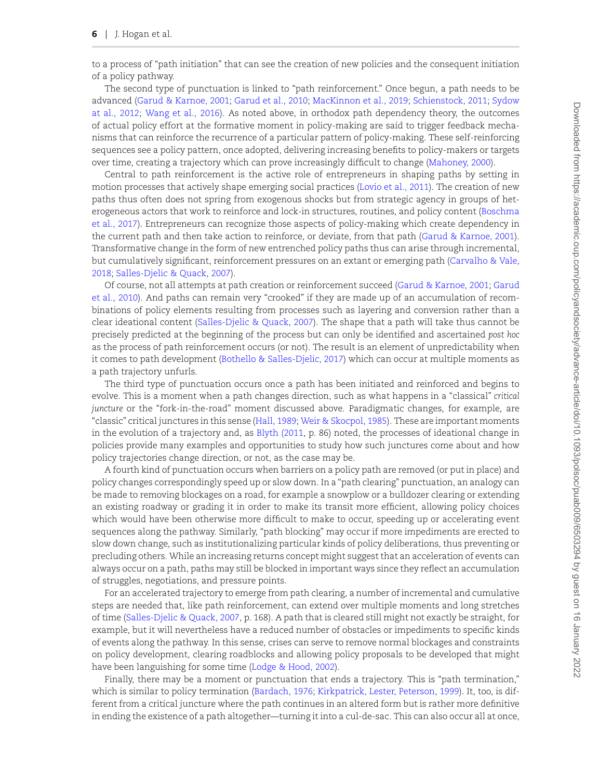to a process of "path initiation" that can see the creation of new policies and the consequent initiation of a policy pathway.

The second type of punctuation is linked to "path reinforcement." Once begun, a path needs to be advanced([Garud & Karnoe, 2001](#page-11-18); [Garud et al., 2010](#page-11-19); [MacKinnon et al., 2019](#page-12-8); [Schienstock, 2011](#page-13-10); [Sydow](#page-13-11) [at al., 2012;](#page-13-11) [Wang et al., 2016\)](#page-13-12). As noted above, in orthodox path dependency theory, the outcomes of actual policy effort at the formative moment in policy-making are said to trigger feedback mechanisms that can reinforce the recurrence of a particular pattern of policy-making. These self-reinforcing sequences see a policy pattern, once adopted, delivering increasing benefits to policy-makers or targets over time, creating a trajectory which can prove increasingly difficult to change([Mahoney, 2000](#page-12-1)).

Central to path reinforcement is the active role of entrepreneurs in shaping paths by setting in motion processes that actively shape emerging social practices([Lovio et al., 2011\)](#page-12-9). The creation of new paths thus often does not spring from exogenous shocks but from strategic agency in groups of heterogeneous actors that work to reinforce and lock-in structures, routines, and policy content([Boschma](#page-10-18) [et al., 2017\)](#page-10-18). Entrepreneurs can recognize those aspects of policy-making which create dependency in the current path and then take action to reinforce, or deviate, from that path [\(Garud & Karnoe, 2001](#page-11-18)). Transformative change in the form of new entrenched policy paths thus can arise through incremental, but cumulatively significant, reinforcement pressures on an extant or emerging path([Carvalho & Vale,](#page-10-19) [2018;](#page-10-19) [Salles-Djelic & Quack, 2007](#page-13-9)).

Of course, not all attempts at path creation or reinforcement succeed([Garud & Karnoe, 2001](#page-11-18); [Garud](#page-11-19) [et al., 2010](#page-11-19)). And paths can remain very "crooked" if they are made up of an accumulation of recombinations of policy elements resulting from processes such as layering and conversion rather than a clear ideational content([Salles-Djelic & Quack, 2007](#page-13-9)). The shape that a path will take thus cannot be precisely predicted at the beginning of the process but can only be identified and ascertained *post hoc* as the process of path reinforcement occurs (or not). The result is an element of unpredictability when it comes to path development [\(Bothello & Salles-Djelic, 2017](#page-10-20)) which can occur at multiple moments as a path trajectory unfurls.

The third type of punctuation occurs once a path has been initiated and reinforced and begins to evolve. This is a moment when a path changes direction, such as what happens in a "classical" *critical juncture* or the "fork-in-the-road" moment discussed above. Paradigmatic changes, for example, are "classic" critical junctures in this sense([Hall, 1989](#page-11-20); [Weir & Skocpol, 1985](#page-13-13)). These are important moments in the evolution of a trajectory and, as [Blyth \(2011](#page-10-21), p. 86) noted, the processes of ideational change in policies provide many examples and opportunities to study how such junctures come about and how policy trajectories change direction, or not, as the case may be.

A fourth kind of punctuation occurs when barriers on a policy path are removed (or put in place) and policy changes correspondingly speed up or slow down. In a "path clearing" punctuation, an analogy can be made to removing blockages on a road, for example a snowplow or a bulldozer clearing or extending an existing roadway or grading it in order to make its transit more efficient, allowing policy choices which would have been otherwise more difficult to make to occur, speeding up or accelerating event sequences along the pathway. Similarly, "path blocking" may occur if more impediments are erected to slow down change, such as institutionalizing particular kinds of policy deliberations, thus preventing or precluding others. While an increasing returns concept might suggest that an acceleration of events can always occur on a path, paths may still be blocked in important ways since they reflect an accumulation of struggles, negotiations, and pressure points.

For an accelerated trajectory to emerge from path clearing, a number of incremental and cumulative steps are needed that, like path reinforcement, can extend over multiple moments and long stretches of time([Salles-Djelic & Quack, 2007](#page-13-9), p. 168). A path that is cleared still might not exactly be straight, for example, but it will nevertheless have a reduced number of obstacles or impediments to specific kinds of events along the pathway. In this sense, crises can serve to remove normal blockages and constraints on policy development, clearing roadblocks and allowing policy proposals to be developed that might have been languishing for some time [\(Lodge & Hood, 2002](#page-12-7)).

Finally, there may be a moment or punctuation that ends a trajectory. This is "path termination," which is similar to policy termination([Bardach, 1976;](#page-9-2) [Kirkpatrick, Lester, Peterson, 1999\)](#page-11-21). It, too, is different from a critical juncture where the path continues in an altered form but is rather more definitive in ending the existence of a path altogether—turning it into a cul-de-sac. This can also occur all at once,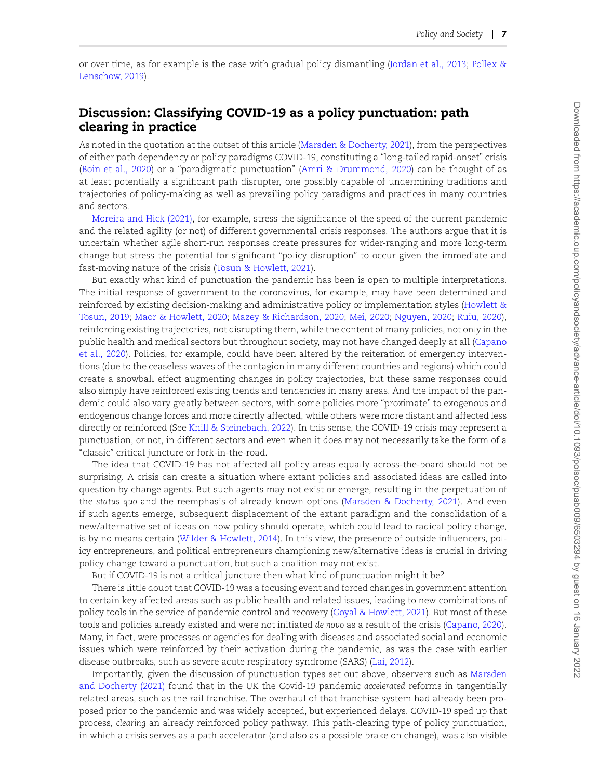or over time, as for example is the case with gradual policy dismantling [\(Jordan et al., 2013](#page-11-22); [Pollex &](#page-13-14) [Lenschow, 2019\)](#page-13-14).

#### **Discussion: Classifying COVID-19 as a policy punctuation: path clearing in practice**

As noted in the quotation at the outset of this article [\(Marsden & Docherty, 2021](#page-12-0)), from the perspectives of either path dependency or policy paradigms COVID-19, constituting a "long-tailed rapid-onset" crisis [\(Boin et al., 2020](#page-10-12)) or a "paradigmatic punctuation"([Amri & Drummond, 2020](#page-9-3)) can be thought of as at least potentially a significant path disrupter, one possibly capable of undermining traditions and trajectories of policy-making as well as prevailing policy paradigms and practices in many countries and sectors.

[Moreira and Hick \(2021\)](#page-12-10), for example, stress the significance of the speed of the current pandemic and the related agility (or not) of different governmental crisis responses. The authors argue that it is uncertain whether agile short-run responses create pressures for wider-ranging and more long-term change but stress the potential for significant "policy disruption" to occur given the immediate and fast-moving nature of the crisis [\(Tosun & Howlett, 2021](#page-13-15)).

But exactly what kind of punctuation the pandemic has been is open to multiple interpretations. The initial response of government to the coronavirus, for example, may have been determined and reinforced by existing decision-making and administrative policy or implementation styles [\(Howlett &](#page-11-23) [Tosun, 2019;](#page-11-23) [Maor & Howlett, 2020](#page-12-11); [Mazey & Richardson, 2020;](#page-12-12) [Mei, 2020](#page-12-13); [Nguyen, 2020](#page-12-14); [Ruiu, 2020\)](#page-13-16), reinforcing existing trajectories, not disrupting them, while the content of many policies, not only in the public health and medical sectors but throughout society, may not have changed deeply at all [\(Capano](#page-10-22) [et al., 2020](#page-10-22)). Policies, for example, could have been altered by the reiteration of emergency interventions (due to the ceaseless waves of the contagion in many different countries and regions) which could create a snowball effect augmenting changes in policy trajectories, but these same responses could also simply have reinforced existing trends and tendencies in many areas. And the impact of the pandemic could also vary greatly between sectors, with some policies more "proximate" to exogenous and endogenous change forces and more directly affected, while others were more distant and affected less directly or reinforced (See [Knill & Steinebach, 2022](#page-11-24)). In this sense, the COVID-19 crisis may represent a punctuation, or not, in different sectors and even when it does may not necessarily take the form of a "classic" critical juncture or fork-in-the-road.

The idea that COVID-19 has not affected all policy areas equally across-the-board should not be surprising. A crisis can create a situation where extant policies and associated ideas are called into question by change agents. But such agents may not exist or emerge, resulting in the perpetuation of the *status quo* and the reemphasis of already known options [\(Marsden & Docherty, 2021](#page-12-0)). And even if such agents emerge, subsequent displacement of the extant paradigm and the consolidation of a new/alternative set of ideas on how policy should operate, which could lead to radical policy change, is by no means certain([Wilder & Howlett, 2014](#page-13-5)). In this view, the presence of outside influencers, policy entrepreneurs, and political entrepreneurs championing new/alternative ideas is crucial in driving policy change toward a punctuation, but such a coalition may not exist.

But if COVID-19 is not a critical juncture then what kind of punctuation might it be?

There is little doubt that COVID-19 was a focusing event and forced changes in government attention to certain key affected areas such as public health and related issues, leading to new combinations of policy tools in the service of pandemic control and recovery [\(Goyal & Howlett, 2021](#page-11-25)). But most of these tools and policies already existed and were not initiated *de novo* as a result of the crisis [\(Capano, 2020\)](#page-10-23). Many, in fact, were processes or agencies for dealing with diseases and associated social and economic issues which were reinforced by their activation during the pandemic, as was the case with earlier disease outbreaks, such as severe acute respiratory syndrome (SARS) [\(Lai, 2012](#page-12-15)).

Importantly, given the discussion of punctuation types set out above, observers such as [Marsden](#page-12-0) [and Docherty \(2021\)](#page-12-0) found that in the UK the Covid-19 pandemic *accelerated* reforms in tangentially related areas, such as the rail franchise. The overhaul of that franchise system had already been proposed prior to the pandemic and was widely accepted, but experienced delays. COVID-19 sped up that process, *clearing* an already reinforced policy pathway. This path-clearing type of policy punctuation, in which a crisis serves as a path accelerator (and also as a possible brake on change), was also visible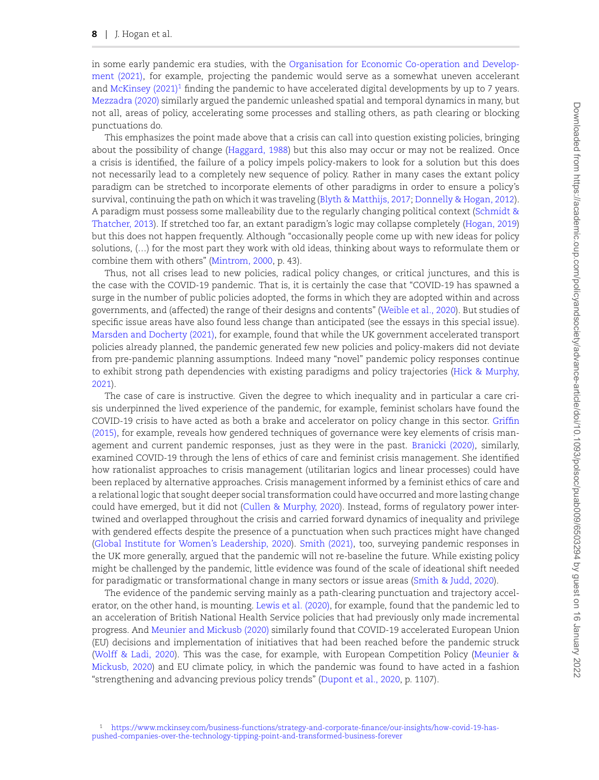in some early pandemic era studies, with the [Organisation for Economic Co-operation and Develop](#page-12-16)[ment \(2021\),](#page-12-16) for example, projecting the pandemic would serve as a somewhat uneven accelerant and [McKinsey \(2021\)](#page-12-17)<sup>[1](#page-8-0)</sup> finding the pandemic to have accelerated digital developments by up to 7 years. [Mezzadra \(2020\)](#page-12-18) similarly argued the pandemic unleashed spatial and temporal dynamics in many, but not all, areas of policy, accelerating some processes and stalling others, as path clearing or blocking punctuations do.

This emphasizes the point made above that a crisis can call into question existing policies, bringing about the possibility of change [\(Haggard, 1988\)](#page-11-14) but this also may occur or may not be realized. Once a crisis is identified, the failure of a policy impels policy-makers to look for a solution but this does not necessarily lead to a completely new sequence of policy. Rather in many cases the extant policy paradigm can be stretched to incorporate elements of other paradigms in order to ensure a policy's survival, continuing the path on which it was traveling [\(Blyth & Matthijs, 2017;](#page-10-24) [Donnelly & Hogan, 2012](#page-10-2)). A paradigm must possess some malleability due to the regularly changing political context [\(Schmidt &](#page-13-17) [Thatcher, 2013](#page-13-17)). If stretched too far, an extant paradigm's logic may collapse completely [\(Hogan, 2019](#page-11-26)) but this does not happen frequently. Although "occasionally people come up with new ideas for policy solutions, (…) for the most part they work with old ideas, thinking about ways to reformulate them or combine them with others" [\(Mintrom, 2000,](#page-12-19) p. 43).

Thus, not all crises lead to new policies, radical policy changes, or critical junctures, and this is the case with the COVID-19 pandemic. That is, it is certainly the case that "COVID-19 has spawned a surge in the number of public policies adopted, the forms in which they are adopted within and across governments, and (affected) the range of their designs and contents"([Weible et al., 2020\)](#page-13-18). But studies of specific issue areas have also found less change than anticipated (see the essays in this special issue). [Marsden and Docherty \(2021\),](#page-12-0) for example, found that while the UK government accelerated transport policies already planned, the pandemic generated few new policies and policy-makers did not deviate from pre-pandemic planning assumptions. Indeed many "novel" pandemic policy responses continue to exhibit strong path dependencies with existing paradigms and policy trajectories([Hick & Murphy,](#page-11-27) [2021\)](#page-11-27).

The case of care is instructive. Given the degree to which inequality and in particular a care crisis underpinned the lived experience of the pandemic, for example, feminist scholars have found the COVID-19 crisis to have acted as both a brake and accelerator on policy change in this sector. [Griffin](#page-11-28) [\(2015\)](#page-11-28), for example, reveals how gendered techniques of governance were key elements of crisis management and current pandemic responses, just as they were in the past. [Branicki \(2020\),](#page-10-25) similarly, examined COVID-19 through the lens of ethics of care and feminist crisis management. She identified how rationalist approaches to crisis management (utilitarian logics and linear processes) could have been replaced by alternative approaches. Crisis management informed by a feminist ethics of care and a relational logic that sought deeper social transformation could have occurred and more lasting change could have emerged, but it did not([Cullen & Murphy, 2020\)](#page-10-26). Instead, forms of regulatory power intertwined and overlapped throughout the crisis and carried forward dynamics of inequality and privilege with gendered effects despite the presence of a punctuation when such practices might have changed ([Global Institute for Women's Leadership, 2020\)](#page-11-29). [Smith \(2021\),](#page-13-19) too, surveying pandemic responses in the UK more generally, argued that the pandemic will not re-baseline the future. While existing policy might be challenged by the pandemic, little evidence was found of the scale of ideational shift needed for paradigmatic or transformational change in many sectors or issue areas [\(Smith & Judd, 2020\)](#page-13-20).

<span id="page-8-0"></span>The evidence of the pandemic serving mainly as a path-clearing punctuation and trajectory accelerator, on the other hand, is mounting. [Lewis et al. \(2020\)](#page-12-20), for example, found that the pandemic led to an acceleration of British National Health Service policies that had previously only made incremental progress. And [Meunier and Mickusb \(2020\)](#page-12-21) similarly found that COVID-19 accelerated European Union (EU) decisions and implementation of initiatives that had been reached before the pandemic struck ([Wolff & Ladi, 2020](#page-13-21)). This was the case, for example, with European Competition Policy [\(Meunier &](#page-12-21) [Mickusb, 2020](#page-12-21)) and EU climate policy, in which the pandemic was found to have acted in a fashion "strengthening and advancing previous policy trends" [\(Dupont et al., 2020,](#page-10-27) p. 1107).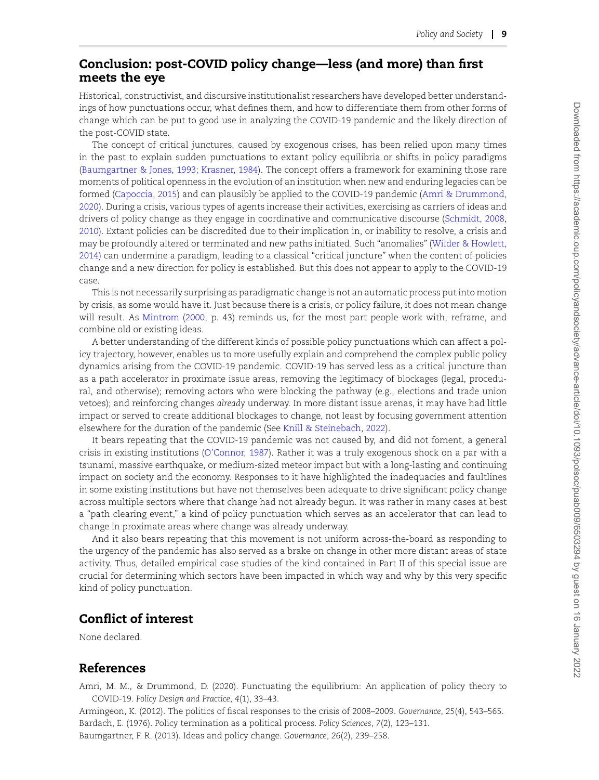## **Conclusion: post-COVID policy change—less (and more) than first meets the eye**

Historical, constructivist, and discursive institutionalist researchers have developed better understandings of how punctuations occur, what defines them, and how to differentiate them from other forms of change which can be put to good use in analyzing the COVID-19 pandemic and the likely direction of the post-COVID state.

The concept of critical junctures, caused by exogenous crises, has been relied upon many times in the past to explain sudden punctuations to extant policy equilibria or shifts in policy paradigms [\(Baumgartner & Jones, 1993](#page-10-3); [Krasner, 1984\)](#page-11-4). The concept offers a framework for examining those rare moments of political openness in the evolution of an institution when new and enduring legacies can be formed([Capoccia, 2015](#page-10-8)) and can plausibly be applied to the COVID-19 pandemic([Amri & Drummond,](#page-9-3) [2020](#page-9-3)). During a crisis, various types of agents increase their activities, exercising as carriers of ideas and drivers of policy change as they engage in coordinative and communicative discourse [\(Schmidt, 2008](#page-13-22), [2010](#page-13-23)). Extant policies can be discredited due to their implication in, or inability to resolve, a crisis and may be profoundly altered or terminated and new paths initiated. Such "anomalies"([Wilder & Howlett,](#page-13-5) [2014](#page-13-5)) can undermine a paradigm, leading to a classical "critical juncture" when the content of policies change and a new direction for policy is established. But this does not appear to apply to the COVID-19 case.

This is not necessarily surprising as paradigmatic change is not an automatic process put into motion by crisis, as some would have it. Just because there is a crisis, or policy failure, it does not mean change will result. As [Mintrom \(2000](#page-12-19), p. 43) reminds us, for the most part people work with, reframe, and combine old or existing ideas.

A better understanding of the different kinds of possible policy punctuations which can affect a policy trajectory, however, enables us to more usefully explain and comprehend the complex public policy dynamics arising from the COVID-19 pandemic. COVID-19 has served less as a critical juncture than as a path accelerator in proximate issue areas, removing the legitimacy of blockages (legal, procedural, and otherwise); removing actors who were blocking the pathway (e.g., elections and trade union vetoes); and reinforcing changes *already* underway. In more distant issue arenas, it may have had little impact or served to create additional blockages to change, not least by focusing government attention elsewhere for the duration of the pandemic (See [Knill & Steinebach, 2022\)](#page-11-24).

It bears repeating that the COVID-19 pandemic was not caused by, and did not foment, a general crisis in existing institutions [\(O'Connor, 1987](#page-12-22)). Rather it was a truly exogenous shock on a par with a tsunami, massive earthquake, or medium-sized meteor impact but with a long-lasting and continuing impact on society and the economy. Responses to it have highlighted the inadequacies and faultlines in some existing institutions but have not themselves been adequate to drive significant policy change across multiple sectors where that change had not already begun. It was rather in many cases at best a "path clearing event," a kind of policy punctuation which serves as an accelerator that can lead to change in proximate areas where change was already underway.

And it also bears repeating that this movement is not uniform across-the-board as responding to the urgency of the pandemic has also served as a brake on change in other more distant areas of state activity. Thus, detailed empirical case studies of the kind contained in Part II of this special issue are crucial for determining which sectors have been impacted in which way and why by this very specific kind of policy punctuation.

#### **Conflict of interest**

None declared.

#### **References**

<span id="page-9-3"></span>Amri, M. M., & Drummond, D. (2020). Punctuating the equilibrium: An application of policy theory to COVID-19. *Policy Design and Practice*, *4*(1), 33–43.

<span id="page-9-2"></span><span id="page-9-1"></span><span id="page-9-0"></span>Armingeon, K. (2012). The politics of fiscal responses to the crisis of 2008–2009. *Governance*, *25*(4), 543–565. Bardach, E. (1976). Policy termination as a political process. *Policy Sciences*, *7*(2), 123–131. Baumgartner, F. R. (2013). Ideas and policy change. *Governance*, *26*(2), 239–258.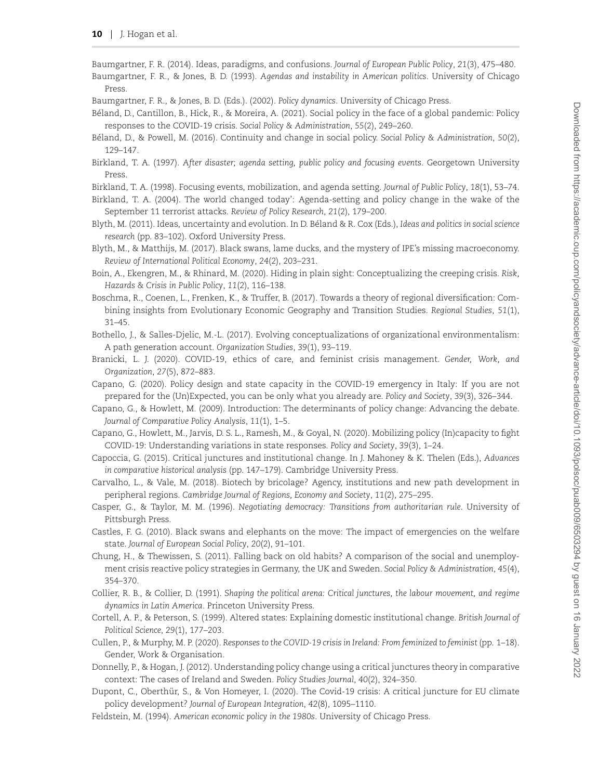- <span id="page-10-7"></span>Baumgartner, F. R. (2014). Ideas, paradigms, and confusions. *Journal of European Public Policy*, *21*(3), 475–480.
- <span id="page-10-3"></span>Baumgartner, F. R., & Jones, B. D. (1993). *Agendas and instability in American politics*. University of Chicago Press.
- <span id="page-10-6"></span>Baumgartner, F. R., & Jones, B. D. (Eds.). (2002). *Policy dynamics*. University of Chicago Press.
- <span id="page-10-16"></span>Beland, D., Cantillon, B., Hick, R., & Moreira, A. (2021). Social policy in the face of a global pandemic: Policy ´ responses to the COVID-19 crisis. *Social Policy & Administration*, *55*(2), 249–260.
- <span id="page-10-15"></span>Béland, D., & Powell, M. (2016). Continuity and change in social policy. Social Policy & Administration, 50(2), 129–147.
- <span id="page-10-4"></span>Birkland, T. A. (1997). *After disaster; agenda setting, public policy and focusing events*. Georgetown University Press.
- <span id="page-10-17"></span>Birkland, T. A. (1998). Focusing events, mobilization, and agenda setting. *Journal of Public Policy*, *18*(1), 53–74.
- <span id="page-10-11"></span>Birkland, T. A. (2004). The world changed today': Agenda-setting and policy change in the wake of the September 11 terrorist attacks. *Review of Policy Research*, *21*(2), 179–200.
- <span id="page-10-21"></span>Blyth, M. (2011). Ideas, uncertainty and evolution. In D. Beland & R. Cox (Eds.), ´ *Ideas and politics in social science research* (pp. 83–102). Oxford University Press.
- <span id="page-10-24"></span>Blyth, M., & Matthijs, M. (2017). Black swans, lame ducks, and the mystery of IPE's missing macroeconomy. *Review of International Political Economy*, *24*(2), 203–231.
- <span id="page-10-12"></span>Boin, A., Ekengren, M., & Rhinard, M. (2020). Hiding in plain sight: Conceptualizing the creeping crisis. *Risk, Hazards & Crisis in Public Policy*, *11*(2), 116–138.
- <span id="page-10-18"></span>Boschma, R., Coenen, L., Frenken, K., & Truffer, B. (2017). Towards a theory of regional diversification: Combining insights from Evolutionary Economic Geography and Transition Studies. *Regional Studies*, *51*(1), 31–45.
- <span id="page-10-20"></span>Bothello, J., & Salles-Djelic, M.-L. (2017). Evolving conceptualizations of organizational environmentalism: A path generation account. *Organization Studies*, *39*(1), 93–119.
- <span id="page-10-25"></span>Branicki, L. J. (2020). COVID-19, ethics of care, and feminist crisis management. *Gender, Work, and Organization*, *27*(5), 872–883.
- <span id="page-10-23"></span>Capano, G. (2020). Policy design and state capacity in the COVID-19 emergency in Italy: If you are not prepared for the (Un)Expected, you can be only what you already are. *Policy and Society*, *39*(3), 326–344.
- <span id="page-10-1"></span>Capano, G., & Howlett, M. (2009). Introduction: The determinants of policy change: Advancing the debate. *Journal of Comparative Policy Analysis*, *11*(1), 1–5.
- <span id="page-10-22"></span>Capano, G., Howlett, M., Jarvis, D. S. L., Ramesh, M., & Goyal, N. (2020). Mobilizing policy (In)capacity to fight COVID-19: Understanding variations in state responses. *Policy and Society*, *39*(3), 1–24.
- <span id="page-10-8"></span>Capoccia, G. (2015). Critical junctures and institutional change. In J. Mahoney & K. Thelen (Eds.), *Advances in comparative historical analysis* (pp. 147–179). Cambridge University Press.
- <span id="page-10-19"></span>Carvalho, L., & Vale, M. (2018). Biotech by bricolage? Agency, institutions and new path development in peripheral regions. *Cambridge Journal of Regions, Economy and Society*, *11*(2), 275–295.
- <span id="page-10-9"></span>Casper, G., & Taylor, M. M. (1996). *Negotiating democracy: Transitions from authoritarian rule*. University of Pittsburgh Press.
- <span id="page-10-13"></span>Castles, F. G. (2010). Black swans and elephants on the move: The impact of emergencies on the welfare state. *Journal of European Social Policy*, *20*(2), 91–101.
- <span id="page-10-14"></span>Chung, H., & Thewissen, S. (2011). Falling back on old habits? A comparison of the social and unemployment crisis reactive policy strategies in Germany, the UK and Sweden. *Social Policy & Administration*, *45*(4), 354–370.
- <span id="page-10-5"></span>Collier, R. B., & Collier, D. (1991). *Shaping the political arena: Critical junctures, the labour movement, and regime dynamics in Latin America*. Princeton University Press.
- <span id="page-10-10"></span>Cortell, A. P., & Peterson, S. (1999). Altered states: Explaining domestic institutional change. *British Journal of Political Science*, *29*(1), 177–203.
- <span id="page-10-26"></span>Cullen, P., & Murphy, M. P. (2020). *Responses to the COVID-19 crisis in Ireland: From feminized to feminist* (pp. 1–18). Gender, Work & Organisation.
- <span id="page-10-2"></span>Donnelly, P., & Hogan, J. (2012). Understanding policy change using a critical junctures theory in comparative context: The cases of Ireland and Sweden. *Policy Studies Journal*, *40*(2), 324–350.
- <span id="page-10-27"></span>Dupont, C., Oberthür, S., & Von Homeyer, I. (2020). The Covid-19 crisis: A critical juncture for EU climate policy development? *Journal of European Integration*, *42*(8), 1095–1110.
- <span id="page-10-0"></span>Feldstein, M. (1994). *American economic policy in the 1980s*. University of Chicago Press.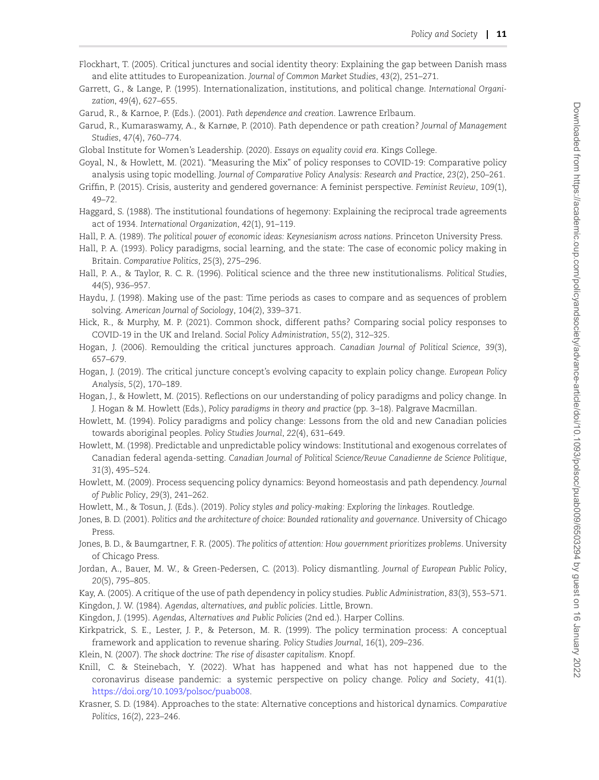- <span id="page-11-7"></span>Flockhart, T. (2005). Critical junctures and social identity theory: Explaining the gap between Danish mass and elite attitudes to Europeanization. *Journal of Common Market Studies*, *43*(2), 251–271.
- <span id="page-11-13"></span>Garrett, G., & Lange, P. (1995). Internationalization, institutions, and political change. *International Organization*, *49*(4), 627–655.
- <span id="page-11-18"></span>Garud, R., & Karnoe, P. (Eds.). (2001). *Path dependence and creation*. Lawrence Erlbaum.
- <span id="page-11-19"></span>Garud, R., Kumaraswamy, A., & Karnøe, P. (2010). Path dependence or path creation? *Journal of Management Studies*, *47*(4), 760–774.
- <span id="page-11-29"></span>Global Institute for Women's Leadership. (2020). *Essays on equality covid era*. Kings College.
- <span id="page-11-25"></span>Goyal, N., & Howlett, M. (2021). "Measuring the Mix" of policy responses to COVID-19: Comparative policy analysis using topic modelling. *Journal of Comparative Policy Analysis: Research and Practice*, *23*(2), 250–261.
- <span id="page-11-28"></span>Griffin, P. (2015). Crisis, austerity and gendered governance: A feminist perspective. *Feminist Review*, *109*(1), 49–72.
- <span id="page-11-14"></span>Haggard, S. (1988). The institutional foundations of hegemony: Explaining the reciprocal trade agreements act of 1934. *International Organization*, *42*(1), 91–119.
- <span id="page-11-20"></span>Hall, P. A. (1989). *The political power of economic ideas: Keynesianism across nations*. Princeton University Press.
- <span id="page-11-2"></span>Hall, P. A. (1993). Policy paradigms, social learning, and the state: The case of economic policy making in Britain. *Comparative Politics*, *25*(3), 275–296.
- <span id="page-11-3"></span>Hall, P. A., & Taylor, R. C. R. (1996). Political science and the three new institutionalisms. *Political Studies*, *44*(5), 936–957.
- <span id="page-11-17"></span>Haydu, J. (1998). Making use of the past: Time periods as cases to compare and as sequences of problem solving. *American Journal of Sociology*, *104*(2), 339–371.
- <span id="page-11-27"></span>Hick, R., & Murphy, M. P. (2021). Common shock, different paths? Comparing social policy responses to COVID-19 in the UK and Ireland. *Social Policy Administration*, *55*(2), 312–325.
- <span id="page-11-12"></span>Hogan, J. (2006). Remoulding the critical junctures approach. *Canadian Journal of Political Science*, *39*(3), 657–679.
- <span id="page-11-26"></span>Hogan, J. (2019). The critical juncture concept's evolving capacity to explain policy change. *European Policy Analysis*, *5*(2), 170–189.
- <span id="page-11-0"></span>Hogan, J., & Howlett, M. (2015). Reflections on our understanding of policy paradigms and policy change. In J. Hogan & M. Howlett (Eds.), *Policy paradigms in theory and practice* (pp. 3–18). Palgrave Macmillan.
- <span id="page-11-8"></span>Howlett, M. (1994). Policy paradigms and policy change: Lessons from the old and new Canadian policies towards aboriginal peoples. *Policy Studies Journal*, *22*(4), 631–649.
- <span id="page-11-10"></span>Howlett, M. (1998). Predictable and unpredictable policy windows: Institutional and exogenous correlates of Canadian federal agenda-setting. *Canadian Journal of Political Science/Revue Canadienne de Science Politique*, *31*(3), 495–524.
- <span id="page-11-1"></span>Howlett, M. (2009). Process sequencing policy dynamics: Beyond homeostasis and path dependency. *Journal of Public Policy*, *29*(3), 241–262.
- <span id="page-11-23"></span>Howlett, M., & Tosun, J. (Eds.). (2019). *Policy styles and policy-making: Exploring the linkages*. Routledge.
- <span id="page-11-6"></span>Jones, B. D. (2001). *Politics and the architecture of choice: Bounded rationality and governance*. University of Chicago Press.
- <span id="page-11-5"></span>Jones, B. D., & Baumgartner, F. R. (2005). *The politics of attention: How government prioritizes problems*. University of Chicago Press.
- <span id="page-11-22"></span>Jordan, A., Bauer, M. W., & Green-Pedersen, C. (2013). Policy dismantling. *Journal of European Public Policy*, *20*(5), 795–805.
- <span id="page-11-9"></span>Kay, A. (2005). A critique of the use of path dependency in policy studies. *Public Administration*, *83*(3), 553–571.
- <span id="page-11-15"></span>Kingdon, J. W. (1984). *Agendas, alternatives, and public policies*. Little, Brown.
- <span id="page-11-11"></span>Kingdon, J. (1995). *Agendas, Alternatives and Public Policies* (2nd ed.). Harper Collins.
- <span id="page-11-21"></span>Kirkpatrick, S. E., Lester, J. P., & Peterson, M. R. (1999). The policy termination process: A conceptual framework and application to revenue sharing. *Policy Studies Journal*, *16*(1), 209–236.
- <span id="page-11-16"></span>Klein, N. (2007). *The shock doctrine: The rise of disaster capitalism*. Knopf.
- <span id="page-11-24"></span>Knill, C. & Steinebach, Y. (2022). What has happened and what has not happened due to the coronavirus disease pandemic: a systemic perspective on policy change. *Policy and Society*, *41*(1). <https://doi.org/10.1093/polsoc/puab008>.
- <span id="page-11-4"></span>Krasner, S. D. (1984). Approaches to the state: Alternative conceptions and historical dynamics. *Comparative Politics*, *16*(2), 223–246.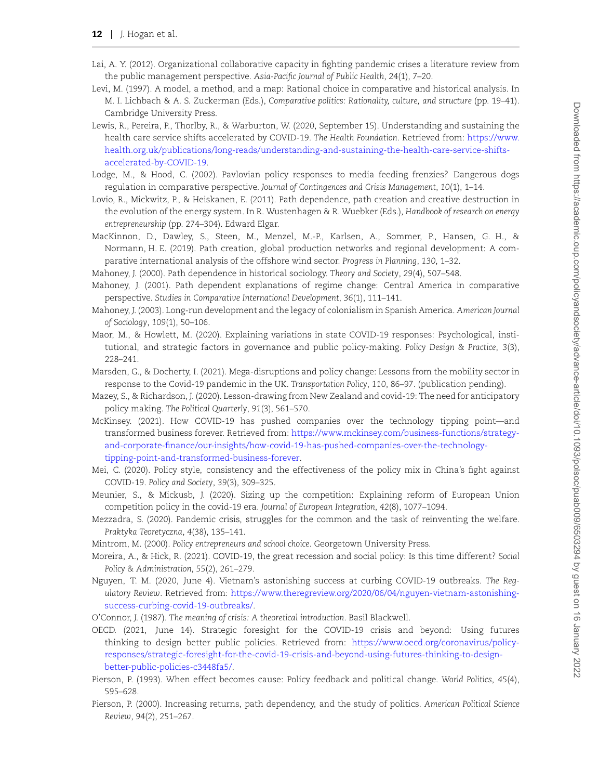- <span id="page-12-15"></span>Lai, A. Y. (2012). Organizational collaborative capacity in fighting pandemic crises a literature review from the public management perspective. *Asia-Pacific Journal of Public Health*, *24*(1), 7–20.
- <span id="page-12-4"></span>Levi, M. (1997). A model, a method, and a map: Rational choice in comparative and historical analysis. In M. I. Lichbach & A. S. Zuckerman (Eds.), *Comparative politics: Rationality, culture, and structure* (pp. 19–41). Cambridge University Press.
- <span id="page-12-20"></span>Lewis, R., Pereira, P., Thorlby, R., & Warburton, W. (2020, September 15). Understanding and sustaining the health care service shifts accelerated by COVID-19. *The Health Foundation*. Retrieved from: [https://www.](https://www.health.org.uk/publications/long-reads/understanding-and-sustaining-the-health-care-service-shifts-accelerated-by-COVID-19) [health.org.uk/publications/long-reads/understanding-and-sustaining-the-health-care-service-shifts](https://www.health.org.uk/publications/long-reads/understanding-and-sustaining-the-health-care-service-shifts-accelerated-by-COVID-19)[accelerated-by-COVID-19.](https://www.health.org.uk/publications/long-reads/understanding-and-sustaining-the-health-care-service-shifts-accelerated-by-COVID-19)
- <span id="page-12-7"></span>Lodge, M., & Hood, C. (2002). Pavlovian policy responses to media feeding frenzies? Dangerous dogs regulation in comparative perspective. *Journal of Contingences and Crisis Management*, *10*(1), 1–14.
- <span id="page-12-9"></span>Lovio, R., Mickwitz, P., & Heiskanen, E. (2011). Path dependence, path creation and creative destruction in the evolution of the energy system. In R. Wustenhagen & R. Wuebker (Eds.), *Handbook of research on energy entrepreneurship* (pp. 274–304). Edward Elgar.
- <span id="page-12-8"></span>MacKinnon, D., Dawley, S., Steen, M., Menzel, M.-P., Karlsen, A., Sommer, P., Hansen, G. H., & Normann, H. E. (2019). Path creation, global production networks and regional development: A comparative international analysis of the offshore wind sector. *Progress in Planning*, *130*, 1–32.
- <span id="page-12-1"></span>Mahoney, J. (2000). Path dependence in historical sociology. *Theory and Society*, *29*(4), 507–548.
- <span id="page-12-5"></span>Mahoney, J. (2001). Path dependent explanations of regime change: Central America in comparative perspective. *Studies in Comparative International Development*, *36*(1), 111–141.
- <span id="page-12-6"></span>Mahoney, J. (2003). Long-run development and the legacy of colonialism in Spanish America. *American Journal of Sociology*, *109*(1), 50–106.
- <span id="page-12-11"></span>Maor, M., & Howlett, M. (2020). Explaining variations in state COVID-19 responses: Psychological, institutional, and strategic factors in governance and public policy-making. *Policy Design & Practice*, *3*(3), 228–241.
- <span id="page-12-0"></span>Marsden, G., & Docherty, I. (2021). Mega-disruptions and policy change: Lessons from the mobility sector in response to the Covid-19 pandemic in the UK. *Transportation Policy*, *110*, 86–97. (publication pending).
- <span id="page-12-12"></span>Mazey, S., & Richardson, J. (2020). Lesson-drawing from New Zealand and covid-19: The need for anticipatory policy making. *The Political Quarterly*, *91*(3), 561–570.
- <span id="page-12-17"></span>McKinsey. (2021). How COVID-19 has pushed companies over the technology tipping point—and transformed business forever. Retrieved from: [https://www.mckinsey.com/business-functions/strategy](https://www.mckinsey.com/business-functions/strategy-and-corporate-finance/our-insights/how-covid-19-has-pushed-companies-over-the-technology-tipping-point-and-transformed-business-forever)[and-corporate-finance/our-insights/how-covid-19-has-pushed-companies-over-the-technology](https://www.mckinsey.com/business-functions/strategy-and-corporate-finance/our-insights/how-covid-19-has-pushed-companies-over-the-technology-tipping-point-and-transformed-business-forever)[tipping-point-and-transformed-business-forever](https://www.mckinsey.com/business-functions/strategy-and-corporate-finance/our-insights/how-covid-19-has-pushed-companies-over-the-technology-tipping-point-and-transformed-business-forever).
- <span id="page-12-13"></span>Mei, C. (2020). Policy style, consistency and the effectiveness of the policy mix in China's fight against COVID-19. *Policy and Society*, *39*(3), 309–325.
- <span id="page-12-21"></span>Meunier, S., & Mickusb, J. (2020). Sizing up the competition: Explaining reform of European Union competition policy in the covid-19 era. *Journal of European Integration*, *42*(8), 1077–1094.
- <span id="page-12-18"></span>Mezzadra, S. (2020). Pandemic crisis, struggles for the common and the task of reinventing the welfare. *Praktyka Teoretyczna*, *4*(38), 135–141.
- <span id="page-12-19"></span>Mintrom, M. (2000). *Policy entrepreneurs and school choice*. Georgetown University Press.
- <span id="page-12-10"></span>Moreira, A., & Hick, R. (2021). COVID-19, the great recession and social policy: Is this time different? *Social Policy & Administration*, *55*(2), 261–279.
- <span id="page-12-14"></span>Nguyen, T. M. (2020, June 4). Vietnam's astonishing success at curbing COVID-19 outbreaks. *The Regulatory Review*. Retrieved from: [https://www.theregreview.org/2020/06/04/nguyen-vietnam-astonishing](https://www.theregreview.org/2020/06/04/nguyen-vietnam-astonishing-success-curbing-covid-19-outbreaks/)[success-curbing-covid-19-outbreaks/](https://www.theregreview.org/2020/06/04/nguyen-vietnam-astonishing-success-curbing-covid-19-outbreaks/).
- <span id="page-12-22"></span>O'Connor, J. (1987). *The meaning of crisis: A theoretical introduction*. Basil Blackwell.
- <span id="page-12-16"></span>OECD. (2021, June 14). Strategic foresight for the COVID-19 crisis and beyond: Using futures thinking to design better public policies. Retrieved from: [https://www.oecd.org/coronavirus/policy](https://www.oecd.org/coronavirus/policy-responses/strategic-foresight-for-the-covid-19-crisis-and-beyond-using-futures-thinking-to-design-better-public-policies-c3448fa5/)[responses/strategic-foresight-for-the-covid-19-crisis-and-beyond-using-futures-thinking-to-design](https://www.oecd.org/coronavirus/policy-responses/strategic-foresight-for-the-covid-19-crisis-and-beyond-using-futures-thinking-to-design-better-public-policies-c3448fa5/)[better-public-policies-c3448fa5/.](https://www.oecd.org/coronavirus/policy-responses/strategic-foresight-for-the-covid-19-crisis-and-beyond-using-futures-thinking-to-design-better-public-policies-c3448fa5/)
- <span id="page-12-3"></span>Pierson, P. (1993). When effect becomes cause: Policy feedback and political change. *World Politics*, *45*(4), 595–628.
- <span id="page-12-2"></span>Pierson, P. (2000). Increasing returns, path dependency, and the study of politics. *American Political Science Review*, *94*(2), 251–267.